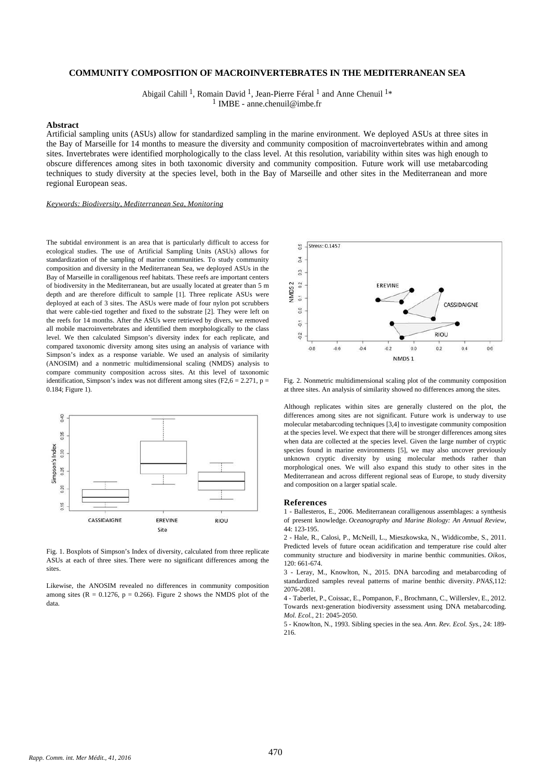## **COMMUNITY COMPOSITION OF MACROINVERTEBRATES IN THE MEDITERRANEAN SEA**

Abigail Cahill<sup>1</sup>, Romain David<sup>1</sup>, Jean-Pierre Féral<sup>1</sup> and Anne Chenuil<sup>1\*</sup> IMBE - anne.chenuil@imbe.fr 1

### **Abstract**

Artificial sampling units (ASUs) allow for standardized sampling in the marine environment. We deployed ASUs at three sites in the Bay of Marseille for 14 months to measure the diversity and community composition of macroinvertebrates within and among sites. Invertebrates were identified morphologically to the class level. At this resolution, variability within sites was high enough to obscure differences among sites in both taxonomic diversity and community composition. Future work will use metabarcoding techniques to study diversity at the species level, both in the Bay of Marseille and other sites in the Mediterranean and more regional European seas.

### *Keywords: Biodiversity, Mediterranean Sea, Monitoring*

The subtidal environment is an area that is particularly difficult to access for ecological studies. The use of Artificial Sampling Units (ASUs) allows for standardization of the sampling of marine communities. To study community composition and diversity in the Mediterranean Sea, we deployed ASUs in the Bay of Marseille in coralligenous reef habitats. These reefs are important centers of biodiversity in the Mediterranean, but are usually located at greater than 5 m depth and are therefore difficult to sample [1]. Three replicate ASUs were deployed at each of 3 sites. The ASUs were made of four nylon pot scrubbers that were cable-tied together and fixed to the substrate [2]. They were left on the reefs for 14 months. After the ASUs were retrieved by divers, we removed all mobile macroinvertebrates and identified them morphologically to the class level. We then calculated Simpson's diversity index for each replicate, and compared taxonomic diversity among sites using an analysis of variance with Simpson's index as a response variable. We used an analysis of similarity (ANOSIM) and a nonmetric multidimensional scaling (NMDS) analysis to compare community composition across sites. At this level of taxonomic identification, Simpson's index was not different among sites (F2,6 = 2.271, p = 0.184; Figure 1).



Fig. 1. Boxplots of Simpson's Index of diversity, calculated from three replicate ASUs at each of three sites. There were no significant differences among the sites.

Likewise, the ANOSIM revealed no differences in community composition among sites ( $R = 0.1276$ ,  $p = 0.266$ ). Figure 2 shows the NMDS plot of the data.



Fig. 2. Nonmetric multidimensional scaling plot of the community composition at three sites. An analysis of similarity showed no differences among the sites.

Although replicates within sites are generally clustered on the plot, the differences among sites are not significant. Future work is underway to use molecular metabarcoding techniques [3,4] to investigate community composition at the species level. We expect that there will be stronger differences among sites when data are collected at the species level. Given the large number of cryptic species found in marine environments [5], we may also uncover previously unknown cryptic diversity by using molecular methods rather than morphological ones. We will also expand this study to other sites in the Mediterranean and across different regional seas of Europe, to study diversity and composition on a larger spatial scale.

#### **References**

1 - Ballesteros, E., 2006. Mediterranean coralligenous assemblages: a synthesis of present knowledge. *Oceanography and Marine Biology: An Annual Review*, 44: 123-195.

2 - Hale, R., Calosi, P., McNeill, L., Mieszkowska, N., Widdicombe, S., 2011. Predicted levels of future ocean acidification and temperature rise could alter community structure and biodiversity in marine benthic communities. *Oikos*, 120: 661-674.

3 - Leray, M., Knowlton, N., 2015. DNA barcoding and metabarcoding of standardized samples reveal patterns of marine benthic diversity. *PNAS*,112: 2076-2081.

4 - Taberlet, P., Coissac, E., Pompanon, F., Brochmann, C., Willerslev, E., 2012. Towards next-generation biodiversity assessment using DNA metabarcoding. *Mol. Ecol.*, 21: 2045-2050.

5 - Knowlton, N., 1993. Sibling species in the sea. *Ann. Rev. Ecol. Sys.*, 24: 189- 216.